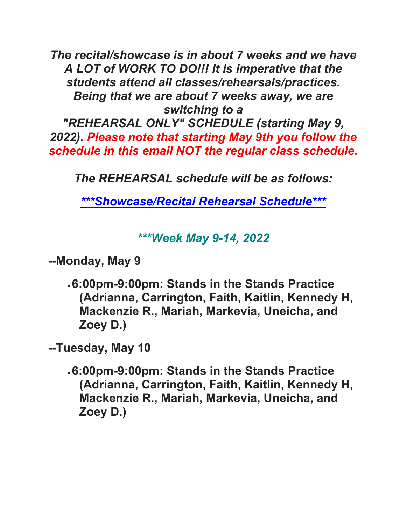*The recital/showcase is in about 7 weeks and we have A LOT of WORK TO DO!!! It is imperative that the students attend all classes/rehearsals/practices. Being that we are about 7 weeks away, we are switching to a* 

*"REHEARSAL ONLY" SCHEDULE (starting May 9, 2022)***.** *Please note that starting May 9th you follow the schedule in this email NOT the regular class schedule.*

*The REHEARSAL schedule will be as follows:*

*\*\*\*Showcase/Recital Rehearsal Schedule\*\*\**

## *\*\*\*Week May 9-14, 2022*

**--Monday, May 9**

•**6:00pm-9:00pm: Stands in the Stands Practice (Adrianna, Carrington, Faith, Kaitlin, Kennedy H, Mackenzie R., Mariah, Markevia, Uneicha, and Zoey D.)**

**--Tuesday, May 10**

•**6:00pm-9:00pm: Stands in the Stands Practice (Adrianna, Carrington, Faith, Kaitlin, Kennedy H, Mackenzie R., Mariah, Markevia, Uneicha, and Zoey D.)**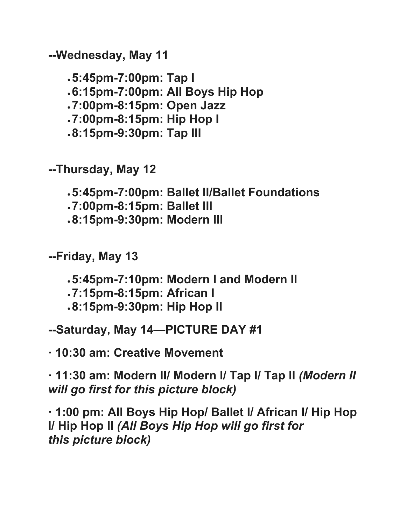**--Wednesday, May 11**

•**5:45pm-7:00pm: Tap I** •**6:15pm-7:00pm: All Boys Hip Hop** •**7:00pm-8:15pm: Open Jazz** •**7:00pm-8:15pm: Hip Hop I** •**8:15pm-9:30pm: Tap III**

**--Thursday, May 12**

•**5:45pm-7:00pm: Ballet II/Ballet Foundations**

•**7:00pm-8:15pm: Ballet III**

•**8:15pm-9:30pm: Modern III**

**--Friday, May 13**

•**5:45pm-7:10pm: Modern I and Modern II**

•**7:15pm-8:15pm: African I**

•**8:15pm-9:30pm: Hip Hop II**

**--Saturday, May 14—PICTURE DAY #1**

**· 10:30 am: Creative Movement**

**· 11:30 am: Modern II/ Modern I/ Tap I/ Tap II** *(Modern II will go first for this picture block)*

**· 1:00 pm: All Boys Hip Hop/ Ballet I/ African I/ Hip Hop I/ Hip Hop II** *(All Boys Hip Hop will go first for this picture block)*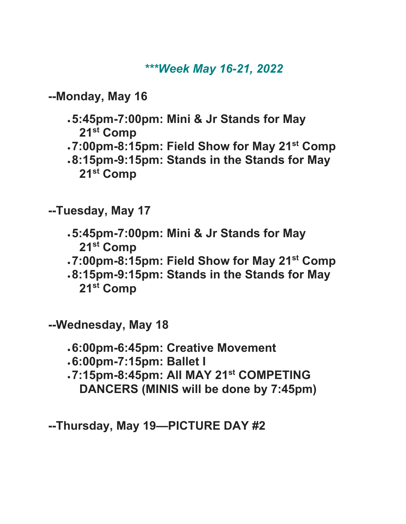## *\*\*\*Week May 16-21, 2022*

**--Monday, May 16**

- •**5:45pm-7:00pm: Mini & Jr Stands for May 21st Comp**
- •**7:00pm-8:15pm: Field Show for May 21st Comp**
- •**8:15pm-9:15pm: Stands in the Stands for May 21st Comp**

**--Tuesday, May 17**

- •**5:45pm-7:00pm: Mini & Jr Stands for May 21st Comp**
- •**7:00pm-8:15pm: Field Show for May 21st Comp**
- •**8:15pm-9:15pm: Stands in the Stands for May 21st Comp**

**--Wednesday, May 18**

- •**6:00pm-6:45pm: Creative Movement**
- •**6:00pm-7:15pm: Ballet I**
- •**7:15pm-8:45pm: All MAY 21st COMPETING DANCERS (MINIS will be done by 7:45pm)**

**--Thursday, May 19—PICTURE DAY #2**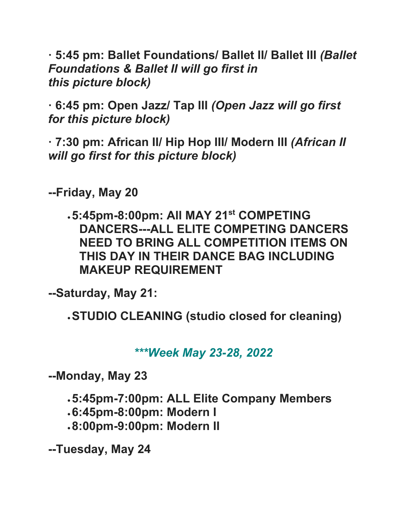**· 5:45 pm: Ballet Foundations/ Ballet II/ Ballet III** *(Ballet Foundations & Ballet II will go first in this picture block)*

**· 6:45 pm: Open Jazz/ Tap III** *(Open Jazz will go first for this picture block)*

**· 7:30 pm: African II/ Hip Hop III/ Modern III** *(African II will go first for this picture block)*

**--Friday, May 20**

•**5:45pm-8:00pm: All MAY 21st COMPETING DANCERS---ALL ELITE COMPETING DANCERS NEED TO BRING ALL COMPETITION ITEMS ON THIS DAY IN THEIR DANCE BAG INCLUDING MAKEUP REQUIREMENT**

**--Saturday, May 21:**

•**STUDIO CLEANING (studio closed for cleaning)**

*\*\*\*Week May 23-28, 2022*

**--Monday, May 23**

•**5:45pm-7:00pm: ALL Elite Company Members**

- •**6:45pm-8:00pm: Modern I**
- •**8:00pm-9:00pm: Modern II**

**--Tuesday, May 24**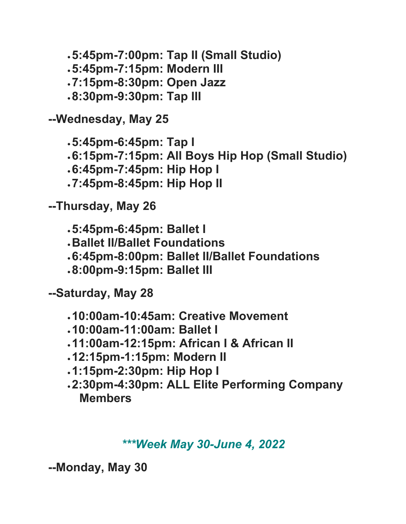•**5:45pm-7:00pm: Tap II (Small Studio)** •**5:45pm-7:15pm: Modern III** •**7:15pm-8:30pm: Open Jazz** •**8:30pm-9:30pm: Tap III**

**--Wednesday, May 25**

•**5:45pm-6:45pm: Tap I** •**6:15pm-7:15pm: All Boys Hip Hop (Small Studio)** •**6:45pm-7:45pm: Hip Hop I** •**7:45pm-8:45pm: Hip Hop II**

**--Thursday, May 26**

•**5:45pm-6:45pm: Ballet I**

- •**Ballet II/Ballet Foundations**
- •**6:45pm-8:00pm: Ballet II/Ballet Foundations**
- •**8:00pm-9:15pm: Ballet III**

**--Saturday, May 28**

- •**10:00am-10:45am: Creative Movement**
- •**10:00am-11:00am: Ballet I**
- •**11:00am-12:15pm: African I & African II**
- •**12:15pm-1:15pm: Modern II**
- •**1:15pm-2:30pm: Hip Hop I**
- •**2:30pm-4:30pm: ALL Elite Performing Company Members**

## *\*\*\*Week May 30-June 4, 2022*

**--Monday, May 30**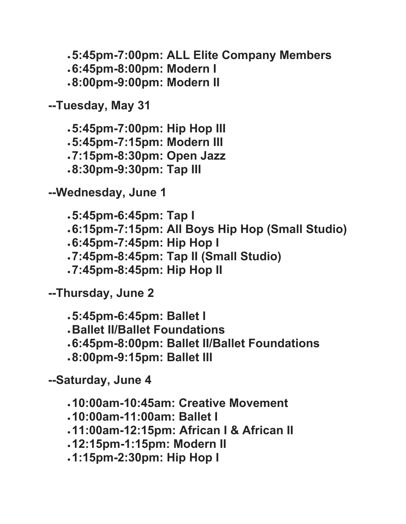•**5:45pm-7:00pm: ALL Elite Company Members** •**6:45pm-8:00pm: Modern I** •**8:00pm-9:00pm: Modern II**

**--Tuesday, May 31**

•**5:45pm-7:00pm: Hip Hop III** •**5:45pm-7:15pm: Modern III** •**7:15pm-8:30pm: Open Jazz** •**8:30pm-9:30pm: Tap III**

**--Wednesday, June 1**

•**5:45pm-6:45pm: Tap I** •**6:15pm-7:15pm: All Boys Hip Hop (Small Studio)**

- •**6:45pm-7:45pm: Hip Hop I**
- •**7:45pm-8:45pm: Tap II (Small Studio)**
- •**7:45pm-8:45pm: Hip Hop II**

**--Thursday, June 2**

•**5:45pm-6:45pm: Ballet I**

- •**Ballet II/Ballet Foundations**
- •**6:45pm-8:00pm: Ballet II/Ballet Foundations**
- •**8:00pm-9:15pm: Ballet III**

**--Saturday, June 4**

•**10:00am-10:45am: Creative Movement**

- •**10:00am-11:00am: Ballet I**
- •**11:00am-12:15pm: African I & African II**
- •**12:15pm-1:15pm: Modern II**
- •**1:15pm-2:30pm: Hip Hop I**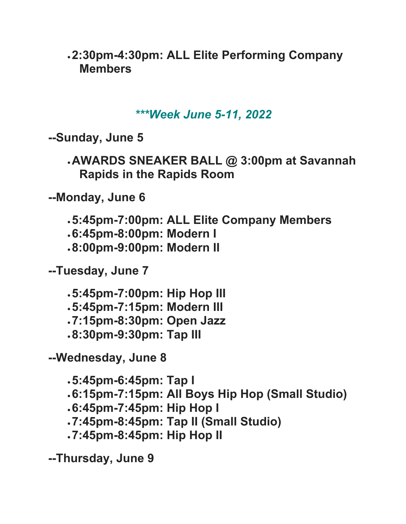•**2:30pm-4:30pm: ALL Elite Performing Company Members**

*\*\*\*Week June 5-11, 2022*

**--Sunday, June 5**

•**AWARDS SNEAKER BALL @ 3:00pm at Savannah Rapids in the Rapids Room**

**--Monday, June 6**

•**5:45pm-7:00pm: ALL Elite Company Members**

•**6:45pm-8:00pm: Modern I**

•**8:00pm-9:00pm: Modern II**

**--Tuesday, June 7**

•**5:45pm-7:00pm: Hip Hop III** •**5:45pm-7:15pm: Modern III** •**7:15pm-8:30pm: Open Jazz** •**8:30pm-9:30pm: Tap III**

**--Wednesday, June 8**

•**5:45pm-6:45pm: Tap I** •**6:15pm-7:15pm: All Boys Hip Hop (Small Studio)** •**6:45pm-7:45pm: Hip Hop I** •**7:45pm-8:45pm: Tap II (Small Studio)**

•**7:45pm-8:45pm: Hip Hop II**

**--Thursday, June 9**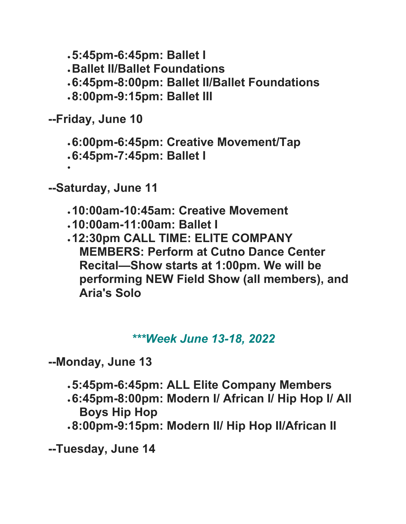•**5:45pm-6:45pm: Ballet I**

- •**Ballet II/Ballet Foundations**
- •**6:45pm-8:00pm: Ballet II/Ballet Foundations**
- •**8:00pm-9:15pm: Ballet III**

**--Friday, June 10**

•

•**6:00pm-6:45pm: Creative Movement/Tap**

•**6:45pm-7:45pm: Ballet I**

**--Saturday, June 11**

- •**10:00am-10:45am: Creative Movement**
- •**10:00am-11:00am: Ballet I**
- •**12:30pm CALL TIME: ELITE COMPANY MEMBERS: Perform at Cutno Dance Center Recital—Show starts at 1:00pm. We will be performing NEW Field Show (all members), and Aria's Solo**

## *\*\*\*Week June 13-18, 2022*

**--Monday, June 13**

- •**5:45pm-6:45pm: ALL Elite Company Members**
- •**6:45pm-8:00pm: Modern I/ African I/ Hip Hop I/ All Boys Hip Hop**
- •**8:00pm-9:15pm: Modern II/ Hip Hop II/African II**

**--Tuesday, June 14**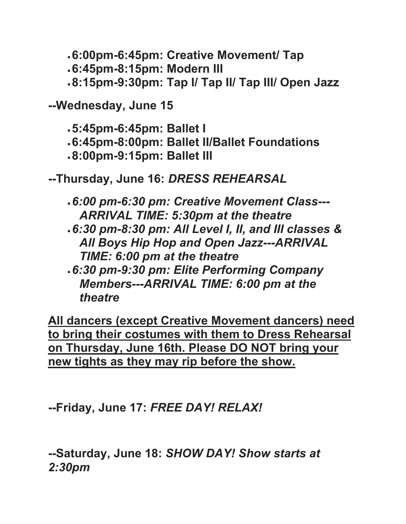•**6:00pm-6:45pm: Creative Movement/ Tap**

•**6:45pm-8:15pm: Modern III**

•**8:15pm-9:30pm: Tap I/ Tap II/ Tap III/ Open Jazz**

**--Wednesday, June 15**

•**5:45pm-6:45pm: Ballet I**

- •**6:45pm-8:00pm: Ballet II/Ballet Foundations**
- •**8:00pm-9:15pm: Ballet III**

**--Thursday, June 16:** *DRESS REHEARSAL*

- •*6:00 pm-6:30 pm: Creative Movement Class--- ARRIVAL TIME: 5:30pm at the theatre*
- •*6:30 pm-8:30 pm: All Level I, II, and III classes & All Boys Hip Hop and Open Jazz---ARRIVAL TIME: 6:00 pm at the theatre*
- •*6:30 pm-9:30 pm: Elite Performing Company Members---ARRIVAL TIME: 6:00 pm at the theatre*

**All dancers (except Creative Movement dancers) need to bring their costumes with them to Dress Rehearsal on Thursday, June 16th. Please DO NOT bring your new tights as they may rip before the show.**

**--Friday, June 17:** *FREE DAY! RELAX!*

**--Saturday, June 18:** *SHOW DAY! Show starts at 2:30pm*